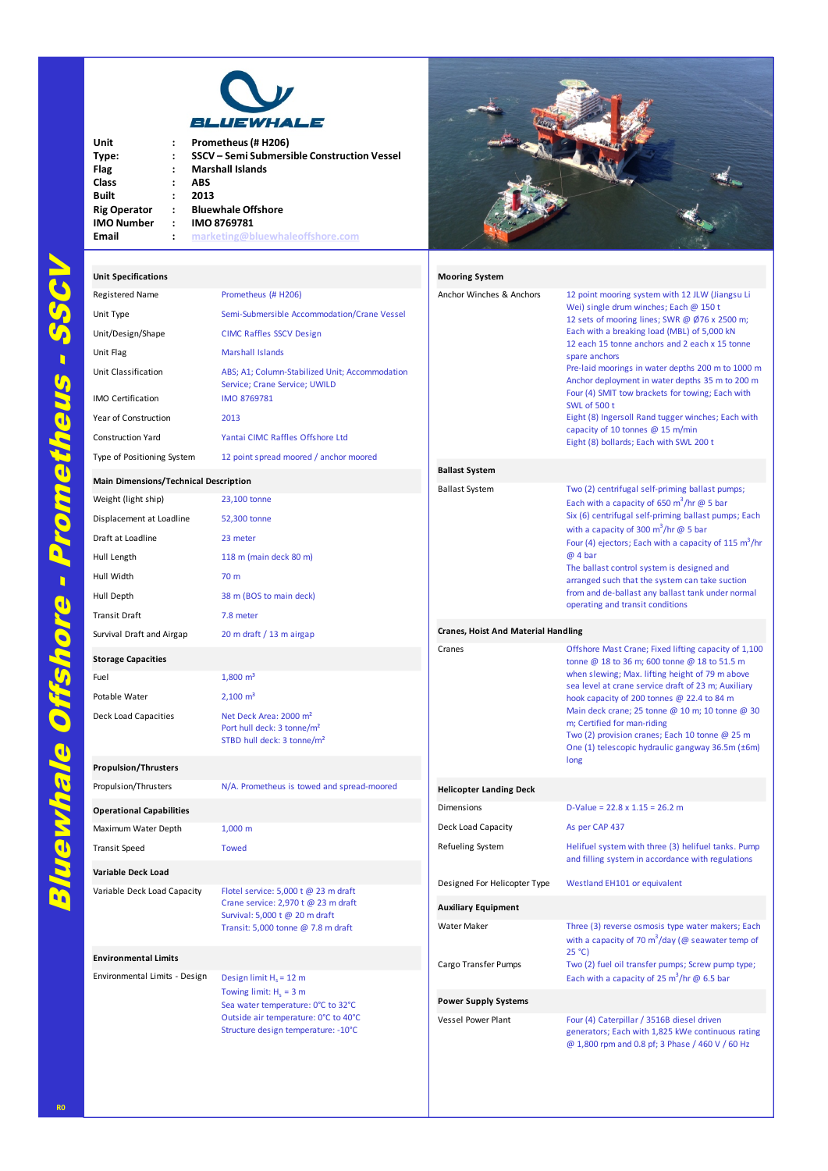

| nit         |           | Prometheus (# H206)                         |
|-------------|-----------|---------------------------------------------|
| ype:        |           | SSCV - Semi Submersible Construction Vessel |
| lag         |           | <b>Marshall Islands</b>                     |
| lass        |           | ABS                                         |
| uilt        |           | 2013                                        |
| ig Operator | $\cdot$ : | <b>Bluewhale Offshore</b>                   |
| MO Number   | $\cdot$ . | <b>IMO 8769781</b>                          |
| mail        | ÷         | marketing@bluewhaleoffshore.com             |
|             |           |                                             |



|  | <b>Unit Specifications</b>            |                                                                                 | <b>Mooring System</b>                      |                                                                                                                                                                                                                                                                                                                                                |  |
|--|---------------------------------------|---------------------------------------------------------------------------------|--------------------------------------------|------------------------------------------------------------------------------------------------------------------------------------------------------------------------------------------------------------------------------------------------------------------------------------------------------------------------------------------------|--|
|  | Registered Name                       | Prometheus (# H206)                                                             | Anchor Winches & Anchors                   | 12 point mooring system with 12 JLW (Jiangsu Li                                                                                                                                                                                                                                                                                                |  |
|  | Unit Type                             | Semi-Submersible Accommodation/Crane Vessel                                     |                                            | Wei) single drum winches; Each @ 150 t<br>12 sets of mooring lines; SWR @ Ø76 x 2500 m;                                                                                                                                                                                                                                                        |  |
|  | Unit/Design/Shape                     | <b>CIMC Raffles SSCV Design</b>                                                 |                                            | Each with a breaking load (MBL) of 5,000 kN                                                                                                                                                                                                                                                                                                    |  |
|  | Unit Flag                             | <b>Marshall Islands</b>                                                         |                                            | 12 each 15 tonne anchors and 2 each x 15 tonne<br>spare anchors                                                                                                                                                                                                                                                                                |  |
|  | Unit Classification                   | ABS; A1; Column-Stabilized Unit; Accommodation<br>Service; Crane Service; UWILD |                                            | Pre-laid moorings in water depths 200 m to 1000 m<br>Anchor deployment in water depths 35 m to 200 m<br>Four (4) SMIT tow brackets for towing; Each with                                                                                                                                                                                       |  |
|  | IMO Certification                     | IMO 8769781                                                                     |                                            | SWL of 500 t                                                                                                                                                                                                                                                                                                                                   |  |
|  | Year of Construction                  | 2013                                                                            |                                            | Eight (8) Ingersoll Rand tugger winches; Each with<br>capacity of 10 tonnes @ 15 m/min                                                                                                                                                                                                                                                         |  |
|  | Construction Yard                     | Yantai CIMC Raffles Offshore Ltd                                                |                                            | Eight (8) bollards; Each with SWL 200 t                                                                                                                                                                                                                                                                                                        |  |
|  | Type of Positioning System            | 12 point spread moored / anchor moored                                          | <b>Ballast System</b>                      |                                                                                                                                                                                                                                                                                                                                                |  |
|  | Main Dimensions/Technical Description |                                                                                 |                                            |                                                                                                                                                                                                                                                                                                                                                |  |
|  | Weight (light ship)                   | 23,100 tonne                                                                    | <b>Ballast System</b>                      | Two (2) centrifugal self-priming ballast pumps;<br>Each with a capacity of 650 m <sup>3</sup> /hr $\omega$ 5 bar<br>Six (6) centrifugal self-priming ballast pumps; Each                                                                                                                                                                       |  |
|  | Displacement at Loadline              | 52,300 tonne                                                                    |                                            |                                                                                                                                                                                                                                                                                                                                                |  |
|  | Draft at Loadline                     | 23 meter                                                                        |                                            | with a capacity of 300 $\text{m}^3/\text{hr} \otimes 5$ bar<br>Four (4) ejectors; Each with a capacity of 115 $\text{m}^3/\text{hr}$                                                                                                                                                                                                           |  |
|  | Hull Length                           | 118 m (main deck 80 m)                                                          |                                            | @ 4 bar                                                                                                                                                                                                                                                                                                                                        |  |
|  | Hull Width                            | 70 m                                                                            |                                            | The ballast control system is designed and<br>arranged such that the system can take suction                                                                                                                                                                                                                                                   |  |
|  | Hull Depth                            | 38 m (BOS to main deck)                                                         |                                            | from and de-ballast any ballast tank under normal                                                                                                                                                                                                                                                                                              |  |
|  | <b>Transit Draft</b>                  | 7.8 meter                                                                       |                                            | operating and transit conditions                                                                                                                                                                                                                                                                                                               |  |
|  | Survival Draft and Airgap             | 20 m draft / 13 m airgap                                                        | <b>Cranes, Hoist And Material Handling</b> |                                                                                                                                                                                                                                                                                                                                                |  |
|  | <b>Storage Capacities</b>             |                                                                                 | Cranes                                     | Offshore Mast Crane; Fixed lifting capacity of 1,100<br>tonne @ 18 to 36 m; 600 tonne @ 18 to 51.5 m<br>when slewing; Max. lifting height of 79 m above<br>sea level at crane service draft of 23 m; Auxiliary<br>hook capacity of 200 tonnes @ 22.4 to 84 m<br>Main deck crane; 25 tonne @ 10 m; 10 tonne @ 30<br>m; Certified for man-riding |  |
|  | Fuel                                  | $1,800 \text{ m}^3$                                                             |                                            |                                                                                                                                                                                                                                                                                                                                                |  |
|  | Potable Water                         | $2,100 \text{ m}^3$                                                             |                                            |                                                                                                                                                                                                                                                                                                                                                |  |
|  |                                       | Net Deck Area: 2000 m <sup>2</sup>                                              |                                            |                                                                                                                                                                                                                                                                                                                                                |  |
|  | <b>Deck Load Capacities</b>           | Port hull deck: 3 tonne/m <sup>2</sup>                                          |                                            |                                                                                                                                                                                                                                                                                                                                                |  |
|  |                                       | STBD hull deck: 3 tonne/m <sup>2</sup>                                          |                                            | Two (2) provision cranes; Each 10 tonne $@$ 25 m<br>One (1) telescopic hydraulic gangway 36.5m (±6m)                                                                                                                                                                                                                                           |  |
|  | <b>Propulsion/Thrusters</b>           |                                                                                 |                                            | long                                                                                                                                                                                                                                                                                                                                           |  |
|  | Propulsion/Thrusters                  | N/A. Prometheus is towed and spread-moored                                      | <b>Helicopter Landing Deck</b>             |                                                                                                                                                                                                                                                                                                                                                |  |
|  |                                       |                                                                                 | <b>Dimensions</b>                          | D-Value = $22.8 \times 1.15 = 26.2$ m                                                                                                                                                                                                                                                                                                          |  |
|  | <b>Operational Capabilities</b>       | $1,000 \; m$                                                                    | Deck Load Capacity                         | As per CAP 437                                                                                                                                                                                                                                                                                                                                 |  |
|  | Maximum Water Depth                   |                                                                                 | Refueling System                           | Helifuel system with three (3) helifuel tanks. Pump                                                                                                                                                                                                                                                                                            |  |
|  | <b>Transit Speed</b>                  | <b>Towed</b>                                                                    |                                            | and filling system in accordance with regulations                                                                                                                                                                                                                                                                                              |  |
|  | Variable Deck Load                    |                                                                                 | Designed For Helicopter Type               | Westland EH101 or equivalent                                                                                                                                                                                                                                                                                                                   |  |
|  | Variable Deck Load Capacity           | Flotel service: $5,000$ t @ 23 m draft<br>Crane service: 2,970 t @ 23 m draft   |                                            |                                                                                                                                                                                                                                                                                                                                                |  |
|  |                                       | Survival: 5,000 t @ 20 m draft                                                  | <b>Auxiliary Equipment</b>                 |                                                                                                                                                                                                                                                                                                                                                |  |
|  |                                       | Transit: 5,000 tonne @ 7.8 m draft                                              | Water Maker                                | Three (3) reverse osmosis type water makers; Each<br>with a capacity of 70 $m^3$ /day (@ seawater temp of                                                                                                                                                                                                                                      |  |
|  | <b>Environmental Limits</b>           |                                                                                 |                                            | 25 °C                                                                                                                                                                                                                                                                                                                                          |  |
|  | Environmental Limits - Design         |                                                                                 | Cargo Transfer Pumps                       | Two (2) fuel oil transfer pumps; Screw pump type;                                                                                                                                                                                                                                                                                              |  |
|  |                                       | Design limit $H_s = 12$ m<br>Towing limit: $H_s = 3$ m                          |                                            | Each with a capacity of 25 $m^3$ /hr @ 6.5 bar                                                                                                                                                                                                                                                                                                 |  |
|  |                                       | Sea water temperature: 0°C to 32°C                                              | <b>Power Supply Systems</b>                |                                                                                                                                                                                                                                                                                                                                                |  |
|  |                                       | Outside air temperature: 0°C to 40°C<br>Structure design temperature: - 10°C    | Vessel Power Plant                         | Four (4) Caterpillar / 3516B diesel driven<br>generators; Each with 1,825 kWe continuous rating                                                                                                                                                                                                                                                |  |
|  |                                       |                                                                                 |                                            | @ 1,800 rpm and 0.8 pf; 3 Phase / 460 V / 60 Hz                                                                                                                                                                                                                                                                                                |  |
|  |                                       |                                                                                 |                                            |                                                                                                                                                                                                                                                                                                                                                |  |
|  |                                       |                                                                                 |                                            |                                                                                                                                                                                                                                                                                                                                                |  |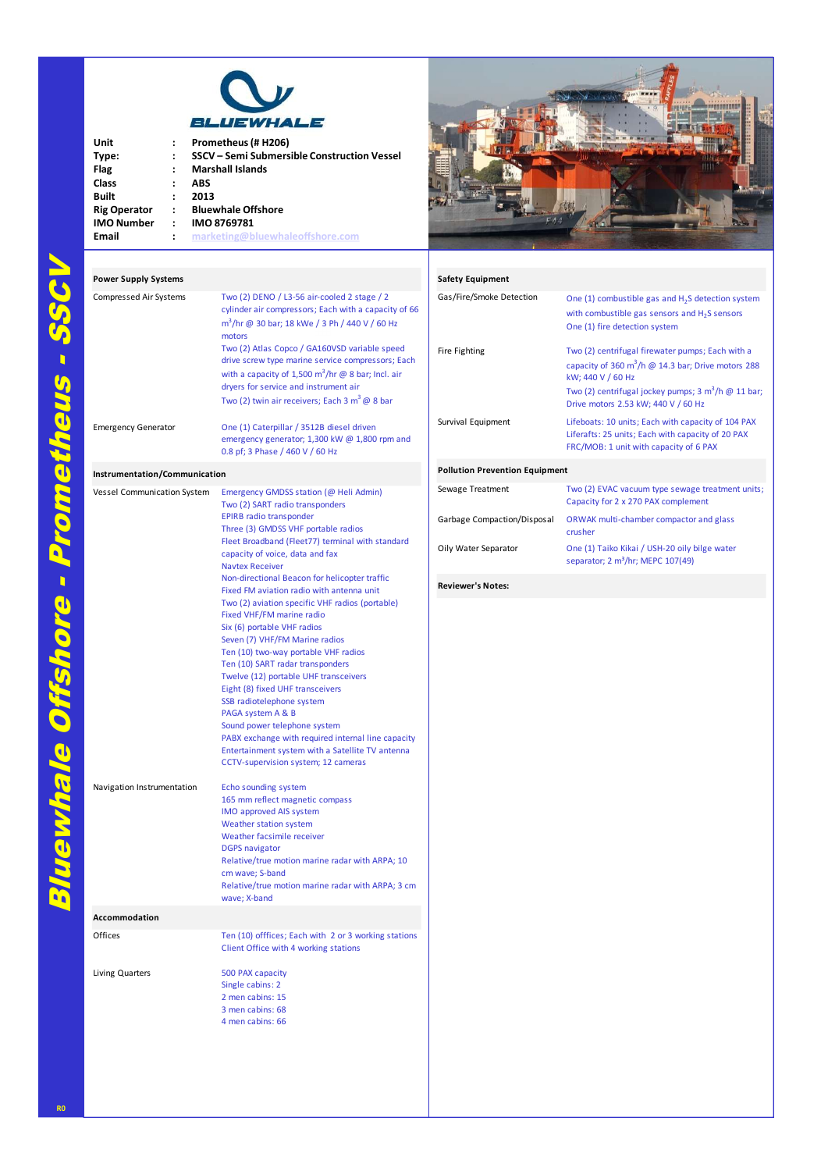

| Jnit                |                   | Prometheus (# H206)                        |
|---------------------|-------------------|--------------------------------------------|
| lype:               |                   | SSCV – Semi Submersible Construction Vesse |
| lag:                |                   | <b>Marshall Islands</b>                    |
| Class               |                   | ABS                                        |
| 3uilt               |                   | 2013                                       |
| <b>Rig Operator</b> | $\sim$ 100 $\sim$ | <b>Bluewhale Offshore</b>                  |
| <b>MO Number</b>    | $\mathbb{R}^n$    | <b>IMO 8769781</b>                         |
| :mail               | $\mathbf{L}$      | marketing@bluewhaleoffshore.com            |
|                     |                   |                                            |



| <b>Power Supply Systems</b>   |                                                                                                                                                                                                                                                               | <b>Safety Equipment</b>               |                                                                                                                                                                                                                                                                                               |  |
|-------------------------------|---------------------------------------------------------------------------------------------------------------------------------------------------------------------------------------------------------------------------------------------------------------|---------------------------------------|-----------------------------------------------------------------------------------------------------------------------------------------------------------------------------------------------------------------------------------------------------------------------------------------------|--|
| Compressed Air Systems        | Two (2) DENO / L3-56 air-cooled 2 stage / 2<br>cylinder air compressors; Each with a capacity of 66<br>m <sup>3</sup> /hr @ 30 bar; 18 kWe / 3 Ph / 440 V / 60 Hz<br>motors                                                                                   | Gas/Fire/Smoke Detection              | One (1) combustible gas and $H2S$ detection system<br>with combustible gas sensors and $H_2S$ sensors<br>One (1) fire detection system                                                                                                                                                        |  |
|                               | Two (2) Atlas Copco / GA160VSD variable speed<br>drive screw type marine service compressors; Each<br>with a capacity of 1,500 $m^3$ /hr @ 8 bar; Incl. air<br>dryers for service and instrument air<br>Two (2) twin air receivers; Each 3 $m^3 \omega$ 8 bar | Fire Fighting                         | Two (2) centrifugal firewater pumps; Each with a<br>capacity of 360 m <sup>3</sup> /h $\omega$ 14.3 bar; Drive motors 288<br>kW; 440 V / 60 Hz<br>Two (2) centrifugal jockey pumps; $3 \text{ m}^3/\text{h} \text{ } \textcircled{ } 11 \text{ bar}$ ;<br>Drive motors 2.53 kW; 440 V / 60 Hz |  |
| <b>Emergency Generator</b>    | One (1) Caterpillar / 3512B diesel driven<br>emergency generator; 1,300 kW @ 1,800 rpm and<br>0.8 pf; 3 Phase / 460 V / 60 Hz                                                                                                                                 | Survival Equipment                    | Lifeboats: 10 units; Each with capacity of 104 PAX<br>Liferafts: 25 units; Each with capacity of 20 PAX<br>FRC/MOB: 1 unit with capacity of 6 PAX                                                                                                                                             |  |
| Instrumentation/Communication |                                                                                                                                                                                                                                                               | <b>Pollution Prevention Equipment</b> |                                                                                                                                                                                                                                                                                               |  |
| Vessel Communication System   | Emergency GMDSS station (@ Heli Admin)<br>Two (2) SART radio transponders                                                                                                                                                                                     | Sewage Treatment                      | Two (2) EVAC vacuum type sewage treatment units;<br>Capacity for 2 x 270 PAX complement                                                                                                                                                                                                       |  |
|                               | <b>EPIRB radio transponder</b><br>Three (3) GMDSS VHF portable radios                                                                                                                                                                                         | Garbage Compaction/Disposal           | ORWAK multi-chamber compactor and glass<br>crusher                                                                                                                                                                                                                                            |  |
|                               | Fleet Broadband (Fleet77) terminal with standard<br>capacity of voice, data and fax                                                                                                                                                                           | Oily Water Separator                  | One (1) Taiko Kikai / USH-20 oily bilge water<br>separator; 2 m <sup>3</sup> /hr; MEPC 107(49)                                                                                                                                                                                                |  |
|                               | <b>Navtex Receiver</b><br>Non-directional Beacon for helicopter traffic<br>Fixed FM aviation radio with antenna unit                                                                                                                                          | <b>Reviewer's Notes:</b>              |                                                                                                                                                                                                                                                                                               |  |
|                               | Two (2) aviation specific VHF radios (portable)<br>Fixed VHF/FM marine radio                                                                                                                                                                                  |                                       |                                                                                                                                                                                                                                                                                               |  |
|                               | Six (6) portable VHF radios<br>Seven (7) VHF/FM Marine radios                                                                                                                                                                                                 |                                       |                                                                                                                                                                                                                                                                                               |  |
|                               | Ten (10) two-way portable VHF radios                                                                                                                                                                                                                          |                                       |                                                                                                                                                                                                                                                                                               |  |
|                               | Ten (10) SART radar transponders<br>Twelve (12) portable UHF transceivers                                                                                                                                                                                     |                                       |                                                                                                                                                                                                                                                                                               |  |
|                               | Eight (8) fixed UHF transceivers                                                                                                                                                                                                                              |                                       |                                                                                                                                                                                                                                                                                               |  |
|                               | SSB radiotelephone system<br>PAGA system A & B                                                                                                                                                                                                                |                                       |                                                                                                                                                                                                                                                                                               |  |
|                               | Sound power telephone system<br>PABX exchange with required internal line capacity<br>Entertainment system with a Satellite TV antenna<br>CCTV-supervision system; 12 cameras                                                                                 |                                       |                                                                                                                                                                                                                                                                                               |  |
| Navigation Instrumentation    | Echo sounding system                                                                                                                                                                                                                                          |                                       |                                                                                                                                                                                                                                                                                               |  |
|                               | 165 mm reflect magnetic compass<br>IMO approved AIS system<br>Weather station system<br>Weather facsimile receiver<br><b>DGPS navigator</b>                                                                                                                   |                                       |                                                                                                                                                                                                                                                                                               |  |
|                               | Relative/true motion marine radar with ARPA; 10<br>cm wave; S-band<br>Relative/true motion marine radar with ARPA; 3 cm                                                                                                                                       |                                       |                                                                                                                                                                                                                                                                                               |  |
|                               | wave; X-band                                                                                                                                                                                                                                                  |                                       |                                                                                                                                                                                                                                                                                               |  |
| <b>Accommodation</b>          |                                                                                                                                                                                                                                                               |                                       |                                                                                                                                                                                                                                                                                               |  |
| Offices                       | Ten (10) offfices; Each with 2 or 3 working stations<br>Client Office with 4 working stations                                                                                                                                                                 |                                       |                                                                                                                                                                                                                                                                                               |  |
| Living Quarters               | 500 PAX capacity<br>Single cabins: 2<br>2 men cabins: 15<br>3 men cabins: 68<br>4 men cabins: 66                                                                                                                                                              |                                       |                                                                                                                                                                                                                                                                                               |  |
|                               |                                                                                                                                                                                                                                                               |                                       |                                                                                                                                                                                                                                                                                               |  |
|                               |                                                                                                                                                                                                                                                               |                                       |                                                                                                                                                                                                                                                                                               |  |
|                               |                                                                                                                                                                                                                                                               |                                       |                                                                                                                                                                                                                                                                                               |  |